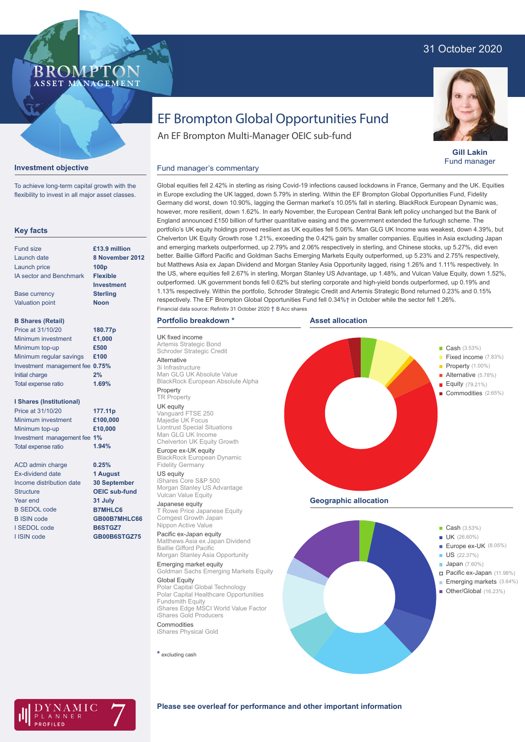## 31 October 2020



**Gill Lakin** Fund manager

# EF Brompton Global Opportunities Fund

An EF Brompton Multi-Manager OEIC sub-fund

### **Investment objective**

BROMP

ASSET MANAGEMENT

To achieve long-term capital growth with the flexibility to invest in all major asset classes.

### **Key facts**

| Fund size                      | £13.9 million     |
|--------------------------------|-------------------|
| Launch date                    | 8 November 2012   |
| Launch price                   | 100 <sub>D</sub>  |
| <b>IA sector and Benchmark</b> | <b>Flexible</b>   |
|                                | <b>Investment</b> |
| <b>Base currency</b>           | <b>Sterling</b>   |
| <b>Valuation point</b>         | Noon              |
| <b>B Shares (Retail)</b>       |                   |
| Price at 31/10/20              | 180.77p           |
| Minimum investment             | £1,000            |
| Minimum top-up                 | £500              |
| Minimum regular savings        | £100              |
|                                |                   |

#### Investment management fee **0.75%** Initial charge Total expense ratio **2% 1.69%**

### **I Shares (Institutional)**

| Price at 31/10/20            | 177.11p  |
|------------------------------|----------|
| Minimum investment           | £100,000 |
| Minimum top-up               | £10,000  |
| Investment management fee 1% |          |
| <b>Total expense ratio</b>   | 1.94%    |

**0.25% 1 August 30 September OEIC sub-fund 31 July B7MHLC6 GB00B7MHLC66 B6STGZ7 GB00B6STGZ75**

ACD admin charge Ex-dividend date Income distribution date **Structure** Year end B SEDOL code B ISIN code I SEDOL code I ISIN code

Global equities fell 2.42% in sterling as rising Covid-19 infections caused lockdowns in France, Germany and the UK. Equities in Europe excluding the UK lagged, down 5.79% in sterling. Within the EF Brompton Global Opportunities Fund, Fidelity Germany did worst, down 10.90%, lagging the German market's 10.05% fall in sterling. BlackRock European Dynamic was, however, more resilient, down 1.62%. In early November, the European Central Bank left policy unchanged but the Bank of England announced £150 billion of further quantitative easing and the government extended the furlough scheme. The portfolio's UK equity holdings proved resilient as UK equities fell 5.06%. Man GLG UK Income was weakest, down 4.39%, but Chelverton UK Equity Growth rose 1.21%, exceeding the 0.42% gain by smaller companies. Equities in Asia excluding Japan and emerging markets outperformed, up 2.79% and 2.06% respectively in sterling, and Chinese stocks, up 5.27%, did even Fund manager's commentary

better. Baillie Gifford Pacific and Goldman Sachs Emerging Markets Equity outperformed, up 5.23% and 2.75% respectively, but Matthews Asia ex Japan Dividend and Morgan Stanley Asia Opportunity lagged, rising 1.26% and 1.11% respectively. In the US, where equities fell 2.67% in sterling, Morgan Stanley US Advantage, up 1.48%, and Vulcan Value Equity, down 1.52%, outperformed. UK government bonds fell 0.62% but sterling corporate and high-yield bonds outperformed, up 0.19% and 1.13% respectively. Within the portfolio, Schroder Strategic Credit and Artemis Strategic Bond returned 0.23% and 0.15% respectively. The EF Brompton Global Opportunities Fund fell 0.34%† in October while the sector fell 1.26%. Financial data source: Refinitiv 31 October 2020 † B Acc shares

### **Portfolio breakdown \***

UK fixed income Artemis Strategic Bond Schroder Strategic Credit Alternative 3i Infrastructure Man GLG UK Absolute Value BlackRock European Absolute Alpha Property

### TR Property

UK equity Vanguard FTSE 250 Majedie UK Focus Liontrust Special Situations Man GLG UK Income Chelverton UK Equity Growth Europe ex-UK equity

BlackRock European Dynamic Fidelity Germany

US equity iShares Core S&P 500 Morgan Stanley US Advantage Vulcan Value Equity

# Japanese equity

T Rowe Price Japanese Equity Comgest Growth Japan Nippon Active Value

Pacific ex-Japan equity Matthews Asia ex Japan Dividend Baillie Gifford Pacific Morgan Stanley Asia Opportunity Emerging market equity

Goldman Sachs Emerging Markets Equity Global Equity

Polar Capital Global Technology Polar Capital Healthcare Opportunities Fundsmith Equity iShares Edge MSCI World Value Factor iShares Gold Producers **Commodities** 

iShares Physical Gold

**\*** excluding cash



**Geographic allocation**





### **Please see overleaf for performance and other important information**